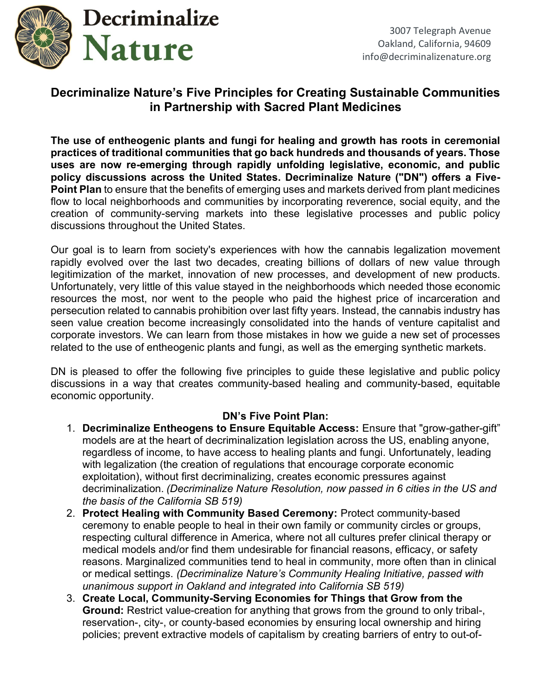

## Decriminalize Nature's Five Principles for Creating Sustainable Communities in Partnership with Sacred Plant Medicines

The use of entheogenic plants and fungi for healing and growth has roots in ceremonial practices of traditional communities that go back hundreds and thousands of years. Those uses are now re-emerging through rapidly unfolding legislative, economic, and public policy discussions across the United States. Decriminalize Nature ("DN") offers a Five-Point Plan to ensure that the benefits of emerging uses and markets derived from plant medicines flow to local neighborhoods and communities by incorporating reverence, social equity, and the creation of community-serving markets into these legislative processes and public policy discussions throughout the United States.

Our goal is to learn from society's experiences with how the cannabis legalization movement rapidly evolved over the last two decades, creating billions of dollars of new value through legitimization of the market, innovation of new processes, and development of new products. Unfortunately, very little of this value stayed in the neighborhoods which needed those economic resources the most, nor went to the people who paid the highest price of incarceration and persecution related to cannabis prohibition over last fifty years. Instead, the cannabis industry has seen value creation become increasingly consolidated into the hands of venture capitalist and corporate investors. We can learn from those mistakes in how we guide a new set of processes related to the use of entheogenic plants and fungi, as well as the emerging synthetic markets.

DN is pleased to offer the following five principles to guide these legislative and public policy discussions in a way that creates community-based healing and community-based, equitable economic opportunity.

## DN's Five Point Plan:

- 1. Decriminalize Entheogens to Ensure Equitable Access: Ensure that "grow-gather-gift" models are at the heart of decriminalization legislation across the US, enabling anyone, regardless of income, to have access to healing plants and fungi. Unfortunately, leading with legalization (the creation of regulations that encourage corporate economic exploitation), without first decriminalizing, creates economic pressures against decriminalization. (Decriminalize Nature Resolution, now passed in 6 cities in the US and the basis of the California SB 519)
- 2. Protect Healing with Community Based Ceremony: Protect community-based ceremony to enable people to heal in their own family or community circles or groups, respecting cultural difference in America, where not all cultures prefer clinical therapy or medical models and/or find them undesirable for financial reasons, efficacy, or safety reasons. Marginalized communities tend to heal in community, more often than in clinical or medical settings. (Decriminalize Nature's Community Healing Initiative, passed with unanimous support in Oakland and integrated into California SB 519)
- 3. Create Local, Community-Serving Economies for Things that Grow from the Ground: Restrict value-creation for anything that grows from the ground to only tribal-, reservation-, city-, or county-based economies by ensuring local ownership and hiring policies; prevent extractive models of capitalism by creating barriers of entry to out-of-